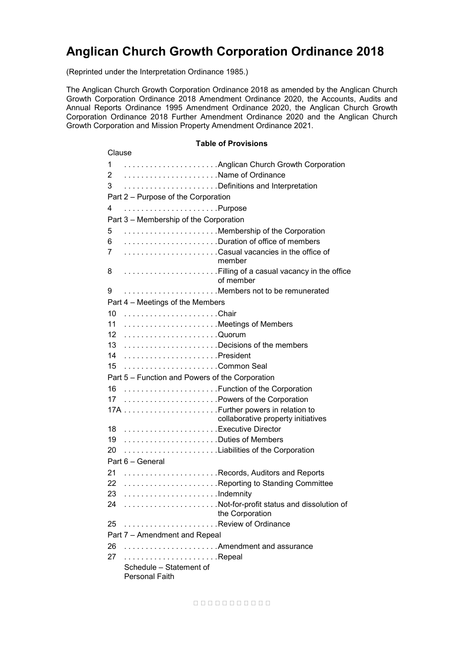# **Anglican Church Growth Corporation Ordinance 2018**

(Reprinted under the Interpretation Ordinance 1985.)

The Anglican Church Growth Corporation Ordinance 2018 as amended by the Anglican Church Growth Corporation Ordinance 2018 Amendment Ordinance 2020, the Accounts, Audits and Annual Reports Ordinance 1995 Amendment Ordinance 2020, the Anglican Church Growth Corporation Ordinance 2018 Further Amendment Ordinance 2020 and the Anglican Church Growth Corporation and Mission Property Amendment Ordinance 2021.

#### **Table of Provisions**

| Clause                           |                                                             |  |
|----------------------------------|-------------------------------------------------------------|--|
|                                  | 1  Anglican Church Growth Corporation                       |  |
|                                  | 2 Name of Ordinance                                         |  |
| 3                                | Definitions and Interpretation                              |  |
|                                  | Part 2 - Purpose of the Corporation                         |  |
| 4                                | Purpose                                                     |  |
|                                  | Part 3 - Membership of the Corporation                      |  |
| 5                                | Membership of the Corporation                               |  |
| 6                                | Duration of office of members                               |  |
| 7                                | Casual vacancies in the office of<br>member                 |  |
| 8                                | Filling of a casual vacancy in the office<br>of member      |  |
| 9                                | Members not to be remunerated                               |  |
| Part 4 - Meetings of the Members |                                                             |  |
| 10                               |                                                             |  |
| 11                               | Meetings of Members                                         |  |
| 12                               |                                                             |  |
| 13                               | Decisions of the members                                    |  |
| 14                               |                                                             |  |
| 15                               |                                                             |  |
|                                  | Part 5 – Function and Powers of the Corporation             |  |
| 16                               | Function of the Corporation                                 |  |
| 17                               | Powers of the Corporation                                   |  |
|                                  |                                                             |  |
|                                  | collaborative property initiatives                          |  |
|                                  | 18 Executive Director                                       |  |
| 19                               | Duties of Members                                           |  |
| 20                               | Liabilities of the Corporation                              |  |
| Part 6 - General                 |                                                             |  |
| 21                               | Records, Auditors and Reports                               |  |
| 22                               | Reporting to Standing Committee                             |  |
| 23                               |                                                             |  |
| 24                               | Not-for-profit status and dissolution of<br>the Corporation |  |
| 25                               | Review of Ordinance                                         |  |
|                                  | Part 7 - Amendment and Repeal                               |  |
| 26                               | Amendment and assurance                                     |  |
| 27                               | Repeal                                                      |  |
|                                  | Schedule - Statement of                                     |  |
|                                  | <b>Personal Faith</b>                                       |  |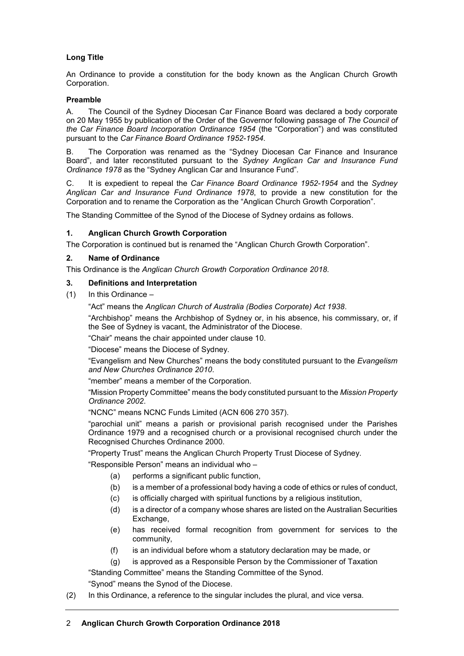# **Long Title**

An Ordinance to provide a constitution for the body known as the Anglican Church Growth Corporation.

# **Preamble**

A. The Council of the Sydney Diocesan Car Finance Board was declared a body corporate on 20 May 1955 by publication of the Order of the Governor following passage of *The Council of the Car Finance Board Incorporation Ordinance 1954* (the "Corporation") and was constituted pursuant to the *Car Finance Board Ordinance 1952-1954*.

B. The Corporation was renamed as the "Sydney Diocesan Car Finance and Insurance Board", and later reconstituted pursuant to the *Sydney Anglican Car and Insurance Fund Ordinance 1978* as the "Sydney Anglican Car and Insurance Fund"*.*

C. It is expedient to repeal the *Car Finance Board Ordinance 1952-1954* and the *Sydney Anglican Car and Insurance Fund Ordinance 1978*, to provide a new constitution for the Corporation and to rename the Corporation as the "Anglican Church Growth Corporation".

The Standing Committee of the Synod of the Diocese of Sydney ordains as follows.

#### **1. Anglican Church Growth Corporation**

The Corporation is continued but is renamed the "Anglican Church Growth Corporation".

#### **2. Name of Ordinance**

This Ordinance is the *Anglican Church Growth Corporation Ordinance 2018*.

#### **3. Definitions and Interpretation**

 $(1)$  In this Ordinance –

"Act" means the *Anglican Church of Australia (Bodies Corporate) Act 1938*.

"Archbishop" means the Archbishop of Sydney or, in his absence, his commissary, or, if the See of Sydney is vacant, the Administrator of the Diocese.

"Chair" means the chair appointed under clause 10.

"Diocese" means the Diocese of Sydney.

"Evangelism and New Churches" means the body constituted pursuant to the *Evangelism and New Churches Ordinance 2010*.

"member" means a member of the Corporation.

"Mission Property Committee" means the body constituted pursuant to the *Mission Property Ordinance 2002*.

"NCNC" means NCNC Funds Limited (ACN 606 270 357).

"parochial unit" means a parish or provisional parish recognised under the Parishes Ordinance 1979 and a recognised church or a provisional recognised church under the Recognised Churches Ordinance 2000.

"Property Trust" means the Anglican Church Property Trust Diocese of Sydney.

"Responsible Person" means an individual who –

- (a) performs a significant public function,
- (b) is a member of a professional body having a code of ethics or rules of conduct,
- (c) is officially charged with spiritual functions by a religious institution,
- (d) is a director of a company whose shares are listed on the Australian Securities Exchange.
- (e) has received formal recognition from government for services to the community,
- (f) is an individual before whom a statutory declaration may be made, or
- (g) is approved as a Responsible Person by the Commissioner of Taxation

"Standing Committee" means the Standing Committee of the Synod.

"Synod" means the Synod of the Diocese.

(2) In this Ordinance, a reference to the singular includes the plural, and vice versa.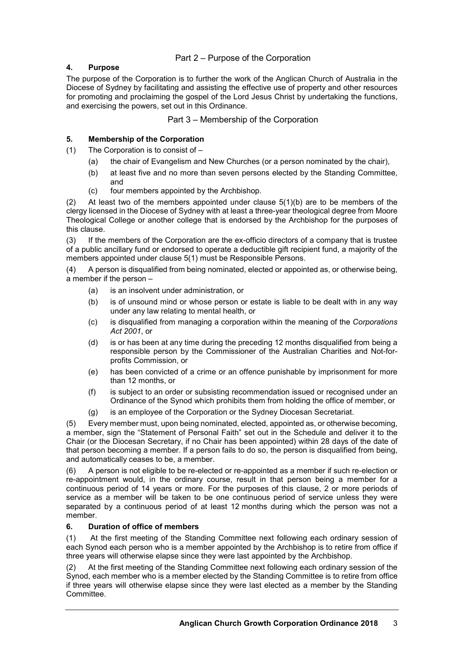# Part 2 – Purpose of the Corporation

# **4. Purpose**

The purpose of the Corporation is to further the work of the Anglican Church of Australia in the Diocese of Sydney by facilitating and assisting the effective use of property and other resources for promoting and proclaiming the gospel of the Lord Jesus Christ by undertaking the functions, and exercising the powers, set out in this Ordinance.

Part 3 – Membership of the Corporation

# **5. Membership of the Corporation**

(1) The Corporation is to consist of –

- (a) the chair of Evangelism and New Churches (or a person nominated by the chair),
- (b) at least five and no more than seven persons elected by the Standing Committee, and
- (c) four members appointed by the Archbishop.

(2) At least two of the members appointed under clause  $5(1)(b)$  are to be members of the clergy licensed in the Diocese of Sydney with at least a three-year theological degree from Moore Theological College or another college that is endorsed by the Archbishop for the purposes of this clause.

(3) If the members of the Corporation are the ex-officio directors of a company that is trustee of a public ancillary fund or endorsed to operate a deductible gift recipient fund, a majority of the members appointed under clause 5(1) must be Responsible Persons.

(4) A person is disqualified from being nominated, elected or appointed as, or otherwise being, a member if the person –

- (a) is an insolvent under administration, or
- (b) is of unsound mind or whose person or estate is liable to be dealt with in any way under any law relating to mental health, or
- (c) is disqualified from managing a corporation within the meaning of the *Corporations Act 2001*, or
- (d) is or has been at any time during the preceding 12 months disqualified from being a responsible person by the Commissioner of the Australian Charities and Not-forprofits Commission, or
- (e) has been convicted of a crime or an offence punishable by imprisonment for more than 12 months, or
- (f) is subject to an order or subsisting recommendation issued or recognised under an Ordinance of the Synod which prohibits them from holding the office of member, or
- (g) is an employee of the Corporation or the Sydney Diocesan Secretariat.

Every member must, upon being nominated, elected, appointed as, or otherwise becoming, a member, sign the "Statement of Personal Faith" set out in the Schedule and deliver it to the Chair (or the Diocesan Secretary, if no Chair has been appointed) within 28 days of the date of that person becoming a member. If a person fails to do so, the person is disqualified from being, and automatically ceases to be, a member.

(6) A person is not eligible to be re-elected or re-appointed as a member if such re-election or re-appointment would, in the ordinary course, result in that person being a member for a continuous period of 14 years or more. For the purposes of this clause, 2 or more periods of service as a member will be taken to be one continuous period of service unless they were separated by a continuous period of at least 12 months during which the person was not a member.

# **6. Duration of office of members**

(1) At the first meeting of the Standing Committee next following each ordinary session of each Synod each person who is a member appointed by the Archbishop is to retire from office if three years will otherwise elapse since they were last appointed by the Archbishop.

(2) At the first meeting of the Standing Committee next following each ordinary session of the Synod, each member who is a member elected by the Standing Committee is to retire from office if three years will otherwise elapse since they were last elected as a member by the Standing Committee.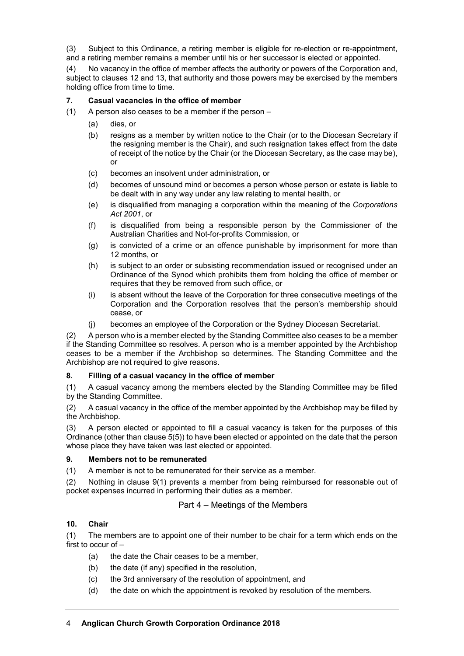(3) Subject to this Ordinance, a retiring member is eligible for re-election or re-appointment, and a retiring member remains a member until his or her successor is elected or appointed.

(4) No vacancy in the office of member affects the authority or powers of the Corporation and, subject to clauses 12 and 13, that authority and those powers may be exercised by the members holding office from time to time.

# **7. Casual vacancies in the office of member**

(1) A person also ceases to be a member if the person –

- (a) dies, or
- (b) resigns as a member by written notice to the Chair (or to the Diocesan Secretary if the resigning member is the Chair), and such resignation takes effect from the date of receipt of the notice by the Chair (or the Diocesan Secretary, as the case may be), or
- (c) becomes an insolvent under administration, or
- (d) becomes of unsound mind or becomes a person whose person or estate is liable to be dealt with in any way under any law relating to mental health, or
- (e) is disqualified from managing a corporation within the meaning of the *Corporations Act 2001*, or
- (f) is disqualified from being a responsible person by the Commissioner of the Australian Charities and Not-for-profits Commission, or
- (g) is convicted of a crime or an offence punishable by imprisonment for more than 12 months, or
- (h) is subject to an order or subsisting recommendation issued or recognised under an Ordinance of the Synod which prohibits them from holding the office of member or requires that they be removed from such office, or
- (i) is absent without the leave of the Corporation for three consecutive meetings of the Corporation and the Corporation resolves that the person's membership should cease, or
- (j) becomes an employee of the Corporation or the Sydney Diocesan Secretariat.

(2) A person who is a member elected by the Standing Committee also ceases to be a member if the Standing Committee so resolves. A person who is a member appointed by the Archbishop ceases to be a member if the Archbishop so determines. The Standing Committee and the Archbishop are not required to give reasons.

# **8. Filling of a casual vacancy in the office of member**

(1) A casual vacancy among the members elected by the Standing Committee may be filled by the Standing Committee.

(2) A casual vacancy in the office of the member appointed by the Archbishop may be filled by the Archbishop.

(3) A person elected or appointed to fill a casual vacancy is taken for the purposes of this Ordinance (other than clause 5(5)) to have been elected or appointed on the date that the person whose place they have taken was last elected or appointed.

#### **9. Members not to be remunerated**

(1) A member is not to be remunerated for their service as a member.

(2) Nothing in clause 9(1) prevents a member from being reimbursed for reasonable out of pocket expenses incurred in performing their duties as a member.

# Part 4 – Meetings of the Members

# **10. Chair**

(1) The members are to appoint one of their number to be chair for a term which ends on the first to occur of –

- (a) the date the Chair ceases to be a member,
- (b) the date (if any) specified in the resolution,
- (c) the 3rd anniversary of the resolution of appointment, and
- (d) the date on which the appointment is revoked by resolution of the members.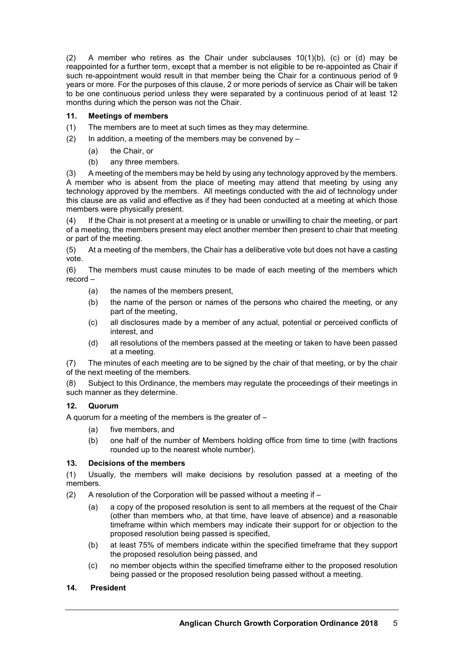(2) A member who retires as the Chair under subclauses  $10(1)(b)$ , (c) or (d) may be reappointed for a further term, except that a member is not eligible to be re-appointed as Chair if such re-appointment would result in that member being the Chair for a continuous period of 9 years or more. For the purposes of this clause, 2 or more periods of service as Chair will be taken to be one continuous period unless they were separated by a continuous period of at least 12 months during which the person was not the Chair.

# **11. Meetings of members**

- (1) The members are to meet at such times as they may determine.
- (2) In addition, a meeting of the members may be convened by  $-$ 
	- (a) the Chair, or
	- (b) any three members.

(3) A meeting of the members may be held by using any technology approved by the members. A member who is absent from the place of meeting may attend that meeting by using any technology approved by the members. All meetings conducted with the aid of technology under this clause are as valid and effective as if they had been conducted at a meeting at which those members were physically present.

(4) If the Chair is not present at a meeting or is unable or unwilling to chair the meeting, or part of a meeting, the members present may elect another member then present to chair that meeting or part of the meeting.

(5) At a meeting of the members, the Chair has a deliberative vote but does not have a casting vote.

(6) The members must cause minutes to be made of each meeting of the members which record –

- (a) the names of the members present,
- (b) the name of the person or names of the persons who chaired the meeting, or any part of the meeting,
- (c) all disclosures made by a member of any actual, potential or perceived conflicts of interest, and
- (d) all resolutions of the members passed at the meeting or taken to have been passed at a meeting.

(7) The minutes of each meeting are to be signed by the chair of that meeting, or by the chair of the next meeting of the members.

(8) Subject to this Ordinance, the members may regulate the proceedings of their meetings in such manner as they determine.

# **12. Quorum**

A quorum for a meeting of the members is the greater of –

- (a) five members, and
- (b) one half of the number of Members holding office from time to time (with fractions rounded up to the nearest whole number).

# **13. Decisions of the members**

(1) Usually, the members will make decisions by resolution passed at a meeting of the members.

- (2) A resolution of the Corporation will be passed without a meeting if  $-$ 
	- (a) a copy of the proposed resolution is sent to all members at the request of the Chair (other than members who, at that time, have leave of absence) and a reasonable timeframe within which members may indicate their support for or objection to the proposed resolution being passed is specified,
	- (b) at least 75% of members indicate within the specified timeframe that they support the proposed resolution being passed, and
	- (c) no member objects within the specified timeframe either to the proposed resolution being passed or the proposed resolution being passed without a meeting.

# **14. President**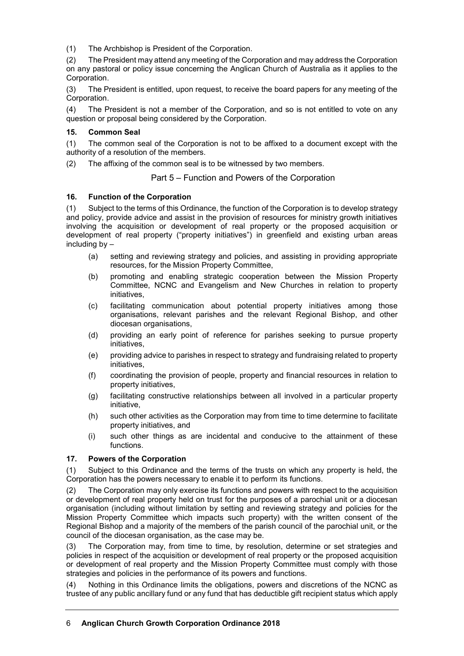(1) The Archbishop is President of the Corporation.

(2) The President may attend any meeting of the Corporation and may address the Corporation on any pastoral or policy issue concerning the Anglican Church of Australia as it applies to the Corporation.

(3) The President is entitled, upon request, to receive the board papers for any meeting of the Corporation.

(4) The President is not a member of the Corporation, and so is not entitled to vote on any question or proposal being considered by the Corporation.

# **15. Common Seal**

(1) The common seal of the Corporation is not to be affixed to a document except with the authority of a resolution of the members.

(2) The affixing of the common seal is to be witnessed by two members.

Part 5 – Function and Powers of the Corporation

# **16. Function of the Corporation**

(1) Subject to the terms of this Ordinance, the function of the Corporation is to develop strategy and policy, provide advice and assist in the provision of resources for ministry growth initiatives involving the acquisition or development of real property or the proposed acquisition or development of real property ("property initiatives") in greenfield and existing urban areas including by –

- (a) setting and reviewing strategy and policies, and assisting in providing appropriate resources, for the Mission Property Committee,
- (b) promoting and enabling strategic cooperation between the Mission Property Committee, NCNC and Evangelism and New Churches in relation to property initiatives,
- (c) facilitating communication about potential property initiatives among those organisations, relevant parishes and the relevant Regional Bishop, and other diocesan organisations,
- (d) providing an early point of reference for parishes seeking to pursue property initiatives,
- (e) providing advice to parishes in respect to strategy and fundraising related to property initiatives,
- (f) coordinating the provision of people, property and financial resources in relation to property initiatives,
- (g) facilitating constructive relationships between all involved in a particular property initiative,
- (h) such other activities as the Corporation may from time to time determine to facilitate property initiatives, and
- (i) such other things as are incidental and conducive to the attainment of these functions.

# **17. Powers of the Corporation**

(1) Subject to this Ordinance and the terms of the trusts on which any property is held, the Corporation has the powers necessary to enable it to perform its functions.

(2) The Corporation may only exercise its functions and powers with respect to the acquisition or development of real property held on trust for the purposes of a parochial unit or a diocesan organisation (including without limitation by setting and reviewing strategy and policies for the Mission Property Committee which impacts such property) with the written consent of the Regional Bishop and a majority of the members of the parish council of the parochial unit, or the council of the diocesan organisation, as the case may be.

(3) The Corporation may, from time to time, by resolution, determine or set strategies and policies in respect of the acquisition or development of real property or the proposed acquisition or development of real property and the Mission Property Committee must comply with those strategies and policies in the performance of its powers and functions.

(4) Nothing in this Ordinance limits the obligations, powers and discretions of the NCNC as trustee of any public ancillary fund or any fund that has deductible gift recipient status which apply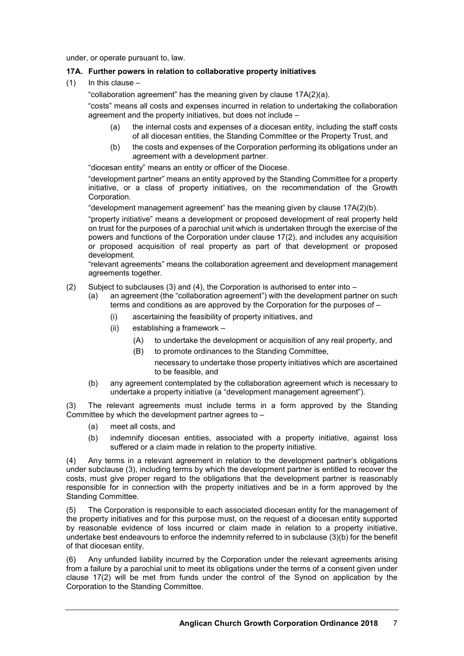under, or operate pursuant to, law.

# **17A. Further powers in relation to collaborative property initiatives**

 $(1)$  In this clause –

"collaboration agreement" has the meaning given by clause 17A(2)(a).

"costs" means all costs and expenses incurred in relation to undertaking the collaboration agreement and the property initiatives, but does not include –

- (a) the internal costs and expenses of a diocesan entity, including the staff costs of all diocesan entities, the Standing Committee or the Property Trust, and
- (b) the costs and expenses of the Corporation performing its obligations under an agreement with a development partner.

"diocesan entity" means an entity or officer of the Diocese.

"development partner" means an entity approved by the Standing Committee for a property initiative, or a class of property initiatives, on the recommendation of the Growth Corporation.

"development management agreement" has the meaning given by clause 17A(2)(b).

"property initiative" means a development or proposed development of real property held on trust for the purposes of a parochial unit which is undertaken through the exercise of the powers and functions of the Corporation under clause 17(2), and includes any acquisition or proposed acquisition of real property as part of that development or proposed development.

"relevant agreements" means the collaboration agreement and development management agreements together.

- (2) Subject to subclauses (3) and (4), the Corporation is authorised to enter into
	- (a) an agreement (the "collaboration agreement") with the development partner on such terms and conditions as are approved by the Corporation for the purposes of –
		- (i) ascertaining the feasibility of property initiatives, and
		- (ii) establishing a framework
			- (A) to undertake the development or acquisition of any real property, and
			- (B) to promote ordinances to the Standing Committee,
				- necessary to undertake those property initiatives which are ascertained to be feasible, and
	- (b) any agreement contemplated by the collaboration agreement which is necessary to undertake a property initiative (a "development management agreement").

(3) The relevant agreements must include terms in a form approved by the Standing Committee by which the development partner agrees to  $-$ 

- (a) meet all costs, and
- (b) indemnify diocesan entities, associated with a property initiative, against loss suffered or a claim made in relation to the property initiative.

(4) Any terms in a relevant agreement in relation to the development partner's obligations under subclause (3), including terms by which the development partner is entitled to recover the costs, must give proper regard to the obligations that the development partner is reasonably responsible for in connection with the property initiatives and be in a form approved by the Standing Committee.

(5) The Corporation is responsible to each associated diocesan entity for the management of the property initiatives and for this purpose must, on the request of a diocesan entity supported by reasonable evidence of loss incurred or claim made in relation to a property initiative, undertake best endeavours to enforce the indemnity referred to in subclause (3)(b) for the benefit of that diocesan entity.

(6) Any unfunded liability incurred by the Corporation under the relevant agreements arising from a failure by a parochial unit to meet its obligations under the terms of a consent given under clause 17(2) will be met from funds under the control of the Synod on application by the Corporation to the Standing Committee.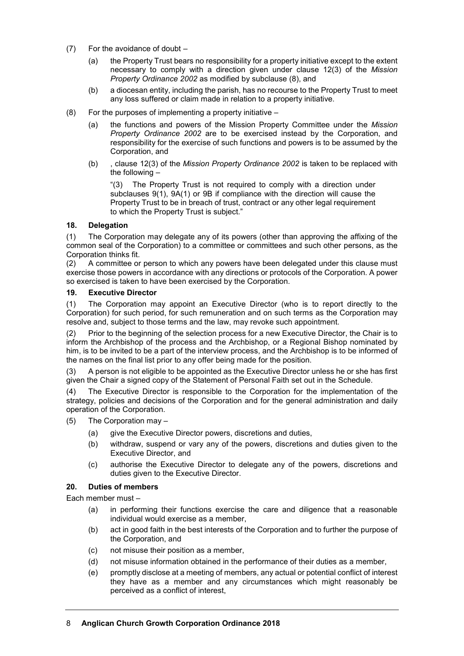- (7) For the avoidance of doubt
	- (a) the Property Trust bears no responsibility for a property initiative except to the extent necessary to comply with a direction given under clause 12(3) of the *Mission Property Ordinance 2002* as modified by subclause (8), and
	- (b) a diocesan entity, including the parish, has no recourse to the Property Trust to meet any loss suffered or claim made in relation to a property initiative.
- (8) For the purposes of implementing a property initiative
	- (a) the functions and powers of the Mission Property Committee under the *Mission Property Ordinance 2002* are to be exercised instead by the Corporation, and responsibility for the exercise of such functions and powers is to be assumed by the Corporation, and
	- (b) , clause 12(3) of the *Mission Property Ordinance 2002* is taken to be replaced with the following –

"(3) The Property Trust is not required to comply with a direction under subclauses 9(1), 9A(1) or 9B if compliance with the direction will cause the Property Trust to be in breach of trust, contract or any other legal requirement to which the Property Trust is subject."

# **18. Delegation**

(1) The Corporation may delegate any of its powers (other than approving the affixing of the common seal of the Corporation) to a committee or committees and such other persons, as the Corporation thinks fit.

(2) A committee or person to which any powers have been delegated under this clause must exercise those powers in accordance with any directions or protocols of the Corporation. A power so exercised is taken to have been exercised by the Corporation.

#### **19. Executive Director**

(1) The Corporation may appoint an Executive Director (who is to report directly to the Corporation) for such period, for such remuneration and on such terms as the Corporation may resolve and, subject to those terms and the law, may revoke such appointment.

(2) Prior to the beginning of the selection process for a new Executive Director, the Chair is to inform the Archbishop of the process and the Archbishop, or a Regional Bishop nominated by him, is to be invited to be a part of the interview process, and the Archbishop is to be informed of the names on the final list prior to any offer being made for the position.

(3) A person is not eligible to be appointed as the Executive Director unless he or she has first given the Chair a signed copy of the Statement of Personal Faith set out in the Schedule.

(4) The Executive Director is responsible to the Corporation for the implementation of the strategy, policies and decisions of the Corporation and for the general administration and daily operation of the Corporation.

- (5) The Corporation may
	- (a) give the Executive Director powers, discretions and duties,
	- (b) withdraw, suspend or vary any of the powers, discretions and duties given to the Executive Director, and
	- (c) authorise the Executive Director to delegate any of the powers, discretions and duties given to the Executive Director.

#### **20. Duties of members**

Each member must –

- (a) in performing their functions exercise the care and diligence that a reasonable individual would exercise as a member,
- (b) act in good faith in the best interests of the Corporation and to further the purpose of the Corporation, and
- (c) not misuse their position as a member,
- (d) not misuse information obtained in the performance of their duties as a member,
- (e) promptly disclose at a meeting of members, any actual or potential conflict of interest they have as a member and any circumstances which might reasonably be perceived as a conflict of interest,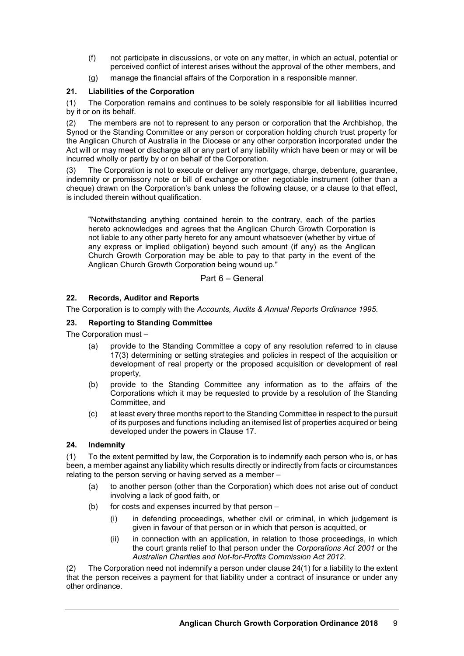- (f) not participate in discussions, or vote on any matter, in which an actual, potential or perceived conflict of interest arises without the approval of the other members, and
- (g) manage the financial affairs of the Corporation in a responsible manner.

# **21. Liabilities of the Corporation**

(1) The Corporation remains and continues to be solely responsible for all liabilities incurred by it or on its behalf.

(2) The members are not to represent to any person or corporation that the Archbishop, the Synod or the Standing Committee or any person or corporation holding church trust property for the Anglican Church of Australia in the Diocese or any other corporation incorporated under the Act will or may meet or discharge all or any part of any liability which have been or may or will be incurred wholly or partly by or on behalf of the Corporation.

(3) The Corporation is not to execute or deliver any mortgage, charge, debenture, guarantee, indemnity or promissory note or bill of exchange or other negotiable instrument (other than a cheque) drawn on the Corporation's bank unless the following clause, or a clause to that effect, is included therein without qualification.

"Notwithstanding anything contained herein to the contrary, each of the parties hereto acknowledges and agrees that the Anglican Church Growth Corporation is not liable to any other party hereto for any amount whatsoever (whether by virtue of any express or implied obligation) beyond such amount (if any) as the Anglican Church Growth Corporation may be able to pay to that party in the event of the Anglican Church Growth Corporation being wound up."

# Part 6 – General

# **22. Records, Auditor and Reports**

The Corporation is to comply with the *Accounts, Audits & Annual Reports Ordinance 1995*.

# **23. Reporting to Standing Committee**

The Corporation must –

- (a) provide to the Standing Committee a copy of any resolution referred to in clause 17(3) determining or setting strategies and policies in respect of the acquisition or development of real property or the proposed acquisition or development of real property,
- (b) provide to the Standing Committee any information as to the affairs of the Corporations which it may be requested to provide by a resolution of the Standing Committee, and
- (c) at least every three months report to the Standing Committee in respect to the pursuit of its purposes and functions including an itemised list of properties acquired or being developed under the powers in Clause 17.

# **24. Indemnity**

(1) To the extent permitted by law, the Corporation is to indemnify each person who is, or has been, a member against any liability which results directly or indirectly from facts or circumstances relating to the person serving or having served as a member –

- (a) to another person (other than the Corporation) which does not arise out of conduct involving a lack of good faith, or
- (b) for costs and expenses incurred by that person
	- (i) in defending proceedings, whether civil or criminal, in which judgement is given in favour of that person or in which that person is acquitted, or
	- (ii) in connection with an application, in relation to those proceedings, in which the court grants relief to that person under the *Corporations Act 2001* or the *Australian Charities and Not-for-Profits Commission Act 2012*.

(2) The Corporation need not indemnify a person under clause 24(1) for a liability to the extent that the person receives a payment for that liability under a contract of insurance or under any other ordinance.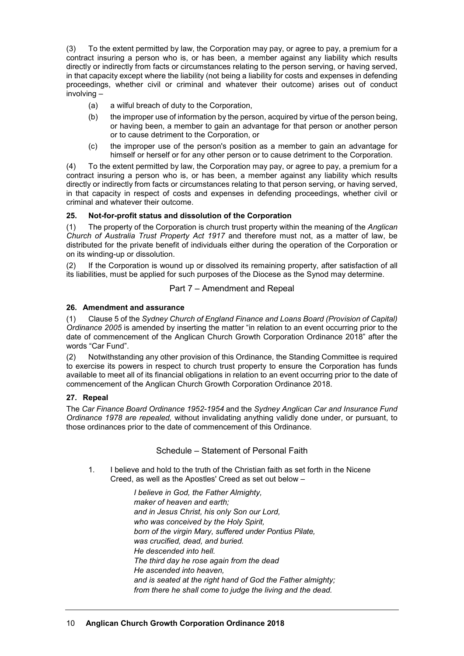(3) To the extent permitted by law, the Corporation may pay, or agree to pay, a premium for a contract insuring a person who is, or has been, a member against any liability which results directly or indirectly from facts or circumstances relating to the person serving, or having served, in that capacity except where the liability (not being a liability for costs and expenses in defending proceedings, whether civil or criminal and whatever their outcome) arises out of conduct involving –

- (a) a wilful breach of duty to the Corporation,
- (b) the improper use of information by the person, acquired by virtue of the person being, or having been, a member to gain an advantage for that person or another person or to cause detriment to the Corporation, or
- (c) the improper use of the person's position as a member to gain an advantage for himself or herself or for any other person or to cause detriment to the Corporation.

(4) To the extent permitted by law, the Corporation may pay, or agree to pay, a premium for a contract insuring a person who is, or has been, a member against any liability which results directly or indirectly from facts or circumstances relating to that person serving, or having served, in that capacity in respect of costs and expenses in defending proceedings, whether civil or criminal and whatever their outcome.

# **25. Not-for-profit status and dissolution of the Corporation**

(1) The property of the Corporation is church trust property within the meaning of the *Anglican Church of Australia Trust Property Act 1917* and therefore must not, as a matter of law, be distributed for the private benefit of individuals either during the operation of the Corporation or on its winding-up or dissolution.

(2) If the Corporation is wound up or dissolved its remaining property, after satisfaction of all its liabilities, must be applied for such purposes of the Diocese as the Synod may determine.

# Part 7 – Amendment and Repeal

#### **26. Amendment and assurance**

(1) Clause 5 of the *Sydney Church of England Finance and Loans Board (Provision of Capital) Ordinance 2005* is amended by inserting the matter "in relation to an event occurring prior to the date of commencement of the Anglican Church Growth Corporation Ordinance 2018" after the words "Car Fund".

(2) Notwithstanding any other provision of this Ordinance, the Standing Committee is required to exercise its powers in respect to church trust property to ensure the Corporation has funds available to meet all of its financial obligations in relation to an event occurring prior to the date of commencement of the Anglican Church Growth Corporation Ordinance 2018.

# **27. Repeal**

The *Car Finance Board Ordinance 1952-1954* and the *Sydney Anglican Car and Insurance Fund Ordinance 1978 are repealed,* without invalidating anything validly done under, or pursuant, to those ordinances prior to the date of commencement of this Ordinance.

# Schedule – Statement of Personal Faith

1. I believe and hold to the truth of the Christian faith as set forth in the Nicene Creed, as well as the Apostles' Creed as set out below –

> *I believe in God, the Father Almighty, maker of heaven and earth; and in Jesus Christ, his only Son our Lord, who was conceived by the Holy Spirit, born of the virgin Mary, suffered under Pontius Pilate, was crucified, dead, and buried. He descended into hell. The third day he rose again from the dead He ascended into heaven, and is seated at the right hand of God the Father almighty; from there he shall come to judge the living and the dead.*